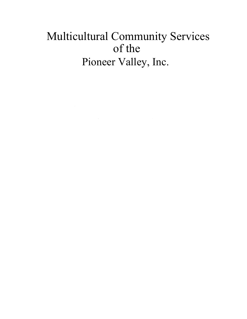# Multicultural Community Services of the Pioneer Valley, Inc.

 $\label{eq:2.1} \frac{1}{\sqrt{2}}\int_{\mathbb{R}^3}\frac{1}{\sqrt{2}}\left(\frac{1}{\sqrt{2}}\right)^2\frac{1}{\sqrt{2}}\left(\frac{1}{\sqrt{2}}\right)^2\frac{1}{\sqrt{2}}\left(\frac{1}{\sqrt{2}}\right)^2.$ 

 $\mathcal{L}^{\mathcal{L}}(\mathcal{L}^{\mathcal{L}})$  and  $\mathcal{L}^{\mathcal{L}}(\mathcal{L}^{\mathcal{L}})$  and  $\mathcal{L}^{\mathcal{L}}(\mathcal{L}^{\mathcal{L}})$ 

 $\label{eq:2.1} \frac{1}{\sqrt{2}}\int_{\mathbb{R}^3}\frac{1}{\sqrt{2}}\left(\frac{1}{\sqrt{2}}\right)^2\frac{1}{\sqrt{2}}\left(\frac{1}{\sqrt{2}}\right)^2\frac{1}{\sqrt{2}}\left(\frac{1}{\sqrt{2}}\right)^2\frac{1}{\sqrt{2}}\left(\frac{1}{\sqrt{2}}\right)^2\frac{1}{\sqrt{2}}\left(\frac{1}{\sqrt{2}}\right)^2\frac{1}{\sqrt{2}}\frac{1}{\sqrt{2}}\frac{1}{\sqrt{2}}\frac{1}{\sqrt{2}}\frac{1}{\sqrt{2}}\frac{1}{\sqrt{2}}$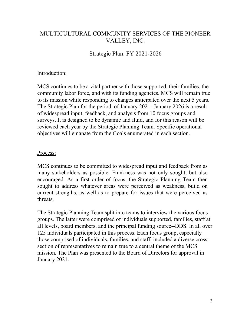## MULTICULTURAL COMMUNITY SERVICES OF THE PIONEER VALLEY, INC.

Strategic Plan: FY 2021-2026

#### Introduction:

MCS continues to be a vital partner with those supported, their families, the community labor force, and with its funding agencies. MCS will remain true to its mission while responding to changes anticipated over the next 5 years. The Strategic Plan for the period of January 2021- January 2026 is a result of widespread input, feedback, and analysis from 10 focus groups and surveys. It is designed to be dynamic and fluid, and for this reason will be reviewed each year by the Strategic Planning Team. Specific operational objectives will emanate from the Goals enumerated in each section.

#### Process:

MCS continues to be committed to widespread input and feedback from as many stakeholders as possible. Frankness was not only sought, but also encouraged. As a first order of focus, the Strategic Planning Team then sought to address whatever areas were perceived as weakness, build on current strengths, as well as to prepare for issues that were perceived as threats.

The Strategic Planning Team split into teams to interview the various focus groups. The latter were comprised of individuals supported, families, staff at all levels, board members, and the principal funding source--DDS. In all over 125 individuals participated in this process. Each focus group, especially those comprised of individuals, families, and staff, included a diverse crosssection of representatives to remain true to a central theme of the MCS mission. The Plan was presented to the Board of Directors for approval in January 2021.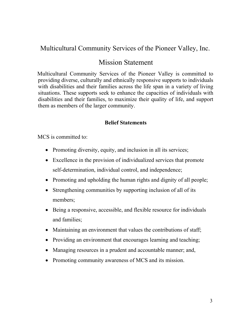# Multicultural Community Services of the Pioneer Valley, Inc.

# Mission Statement

Multicultural Community Services of the Pioneer Valley is committed to providing diverse, culturally and ethnically responsive supports to individuals with disabilities and their families across the life span in a variety of living situations. These supports seek to enhance the capacities of individuals with disabilities and their families, to maximize their quality of life, and support them as members of the larger community.

#### **Belief Statements**

MCS is committed to:

- Promoting diversity, equity, and inclusion in all its services;
- Excellence in the provision of individualized services that promote self-determination, individual control, and independence;
- Promoting and upholding the human rights and dignity of all people;
- Strengthening communities by supporting inclusion of all of its members;
- Being a responsive, accessible, and flexible resource for individuals and families;
- Maintaining an environment that values the contributions of staff;
- Providing an environment that encourages learning and teaching;
- Managing resources in a prudent and accountable manner; and,
- Promoting community awareness of MCS and its mission.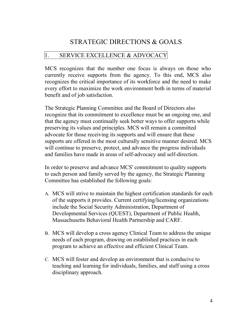# STRATEGIC DIRECTIONS & GOALS

### 1. SERVICE EXCELLENCE & ADVOCACY

MCS recognizes that the number one focus is always on those who currently receive supports from the agency. To this end, MCS also recognizes the critical importance of its workforce and the need to make every effort to maximize the work environment both in terms of material benefit and of job satisfaction.

The Strategic Planning Committee and the Board of Directors also recognize that its commitment to excellence must be an ongoing one, and that the agency must continually seek better ways to offer supports while preserving its values and principles. MCS will remain a committed advocate for those receiving its supports and will ensure that these supports are offered in the most culturally sensitive manner desired. MCS will continue to preserve, protect, and advance the progress individuals and families have made in areas of self-advocacy and self-direction.

In order to preserve and advance MCS' commitment to quality supports to each person and family served by the agency, the Strategic Planning Committee has established the following goals:

- A. MCS will strive to maintain the highest certification standards for each of the supports it provides. Current certifying/licensing organizations include the Social Security Administration, Department of Developmental Services (QUEST), Department of Public Health, Massachusetts Behavioral Health Partnership and CARF.
- B. MCS will develop a cross agency Clinical Team to address the unique needs of each program, drawing on established practices in each program to achieve an effective and efficient Clinical Team.
- C. MCS will foster and develop an environment that is conducive to teaching and learning for individuals, families, and staff using a cross disciplinary approach.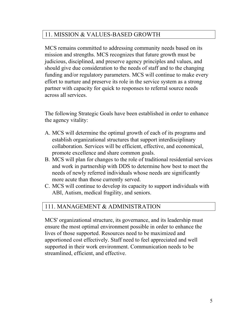## 11. MISSION & VALUES-BASED GROWTH

MCS remains committed to addressing community needs based on its mission and strengths. MCS recognizes that future growth must be judicious, disciplined, and preserve agency principles and values, and should give due consideration to the needs of staff and to the changing funding and/or regulatory parameters. MCS will continue to make every effort to nurture and preserve its role in the service system as a strong partner with capacity for quick to responses to referral source needs across all services.

The following Strategic Goals have been established in order to enhance the agency vitality:

- A. MCS will determine the optimal growth of each of its programs and establish organizational structures that support interdisciplinary collaboration. Services will be efficient, effective, and economical, promote excellence and share common goals.
- B. MCS will plan for changes to the role of traditional residential services and work in partnership with DDS to determine how best to meet the needs of newly referred individuals whose needs are significantly more acute than those currently served.
- C. MCS will continue to develop its capacity to support individuals with ABI, Autism, medical fragility, and seniors.

## 111. MANAGEMENT & ADMINISTRATION

MCS' organizational structure, its governance, and its leadership must ensure the most optimal environment possible in order to enhance the lives of those supported. Resources need to be maximized and apportioned cost effectively. Staff need to feel appreciated and well supported in their work environment. Communication needs to be streamlined, efficient, and effective.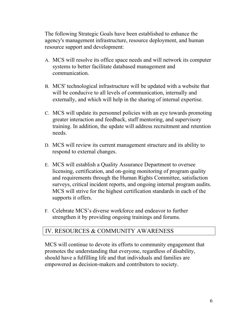The following Strategic Goals have been established to enhance the agency's management infrastructure, resource deployment, and human resource support and development:

- A. MCS will resolve its office space needs and will network its computer systems to better facilitate databased management and communication.
- B. MCS' technological infrastructure will be updated with a website that will be conducive to all levels of communication, internally and externally, and which will help in the sharing of internal expertise.
- C. MCS will update its personnel policies with an eye towards promoting greater interaction and feedback, staff mentoring, and supervisory training. In addition, the update will address recruitment and retention needs.
- D. MCS will review its current management structure and its ability to respond to external changes.
- E. MCS will establish a Quality Assurance Department to oversee licensing, certification, and on-going monitoring of program quality and requirements through the Human Rights Committee, satisfaction surveys, critical incident reports, and ongoing internal program audits. MCS will strive for the highest certification standards in each of the supports it offers.
- F. Celebrate MCS's diverse workforce and endeavor to further strengthen it by providing ongoing trainings and forums.

## IV. RESOURCES & COMMUNITY AWARENESS

MCS will continue to devote its efforts to community engagement that promotes the understanding that everyone, regardless of disability, should have a fulfilling life and that individuals and families are empowered as decision-makers and contributors to society.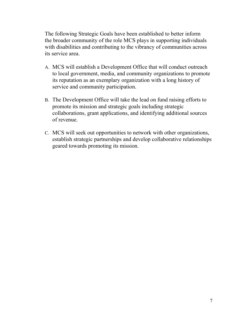The following Strategic Goals have been established to better inform the broader community of the role MCS plays in supporting individuals with disabilities and contributing to the vibrancy of communities across its service area.

- A. MCS will establish a Development Office that will conduct outreach to local government, media, and community organizations to promote its reputation as an exemplary organization with a long history of service and community participation.
- B. The Development Office will take the lead on fund raising efforts to promote its mission and strategic goals including strategic collaborations, grant applications, and identifying additional sources of revenue.
- C. MCS will seek out opportunities to network with other organizations, establish strategic partnerships and develop collaborative relationships geared towards promoting its mission.